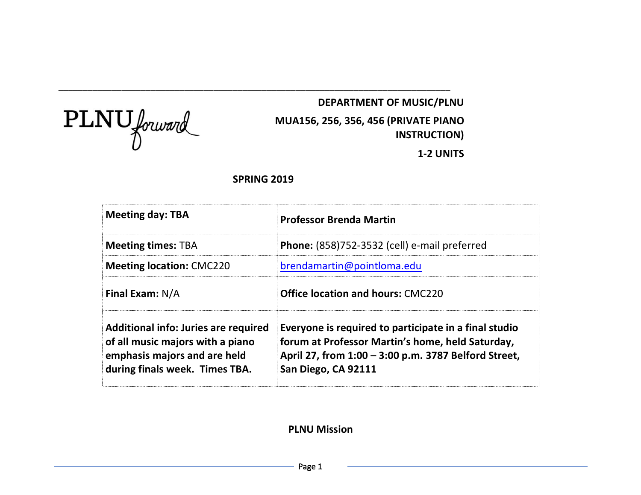$\text{PLNU}$  forward

# **DEPARTMENT OF MUSIC/PLNU MUA156, 256, 356, 456 (PRIVATE PIANO INSTRUCTION)**

**1-2 UNITS**

# **SPRING 2019**

\_\_\_\_\_\_\_\_\_\_\_\_\_\_\_\_\_\_\_\_\_\_\_\_\_\_\_\_\_\_\_\_\_\_\_\_\_\_\_\_\_\_\_\_\_\_\_\_\_\_\_\_\_\_\_\_\_\_\_\_\_\_\_\_\_\_\_\_\_\_\_\_\_\_\_\_\_\_\_\_\_

| <b>Meeting day: TBA</b>                                                                                                                    | <b>Professor Brenda Martin</b>                                                                                                                                                           |  |
|--------------------------------------------------------------------------------------------------------------------------------------------|------------------------------------------------------------------------------------------------------------------------------------------------------------------------------------------|--|
| <b>Meeting times: TBA</b>                                                                                                                  | <b>Phone:</b> (858)752-3532 (cell) e-mail preferred                                                                                                                                      |  |
| <b>Meeting location: CMC220</b>                                                                                                            | brendamartin@pointloma.edu                                                                                                                                                               |  |
| <b>Final Exam: N/A</b>                                                                                                                     | <b>Office location and hours: CMC220</b>                                                                                                                                                 |  |
| Additional info: Juries are required<br>of all music majors with a piano<br>emphasis majors and are held<br>during finals week. Times TBA. | Everyone is required to participate in a final studio<br>forum at Professor Martin's home, held Saturday,<br>April 27, from 1:00 - 3:00 p.m. 3787 Belford Street,<br>San Diego, CA 92111 |  |

# **PLNU Mission**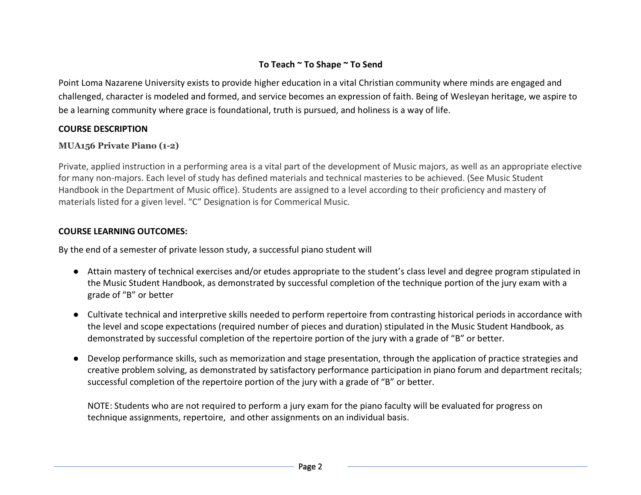# **To Teach ~ To Shape ~ To Send**

Point Loma Nazarene University exists to provide higher education in a vital Christian community where minds are engaged and challenged, character is modeled and formed, and service becomes an expression of faith. Being of Wesleyan heritage, we aspire to be a learning community where grace is foundational, truth is pursued, and holiness is a way of life.

# **COURSE DESCRIPTION**

## **MUA156 Private Piano (1-2)**

Private, applied instruction in a performing area is a vital part of the development of Music majors, as well as an appropriate elective for many non-majors. Each level of study has defined materials and technical masteries to be achieved. (See Music Student Handbook in the Department of Music office). Students are assigned to a level according to their proficiency and mastery of materials listed for a given level. "C" Designation is for Commerical Music.

### **COURSE LEARNING OUTCOMES:**

By the end of a semester of private lesson study, a successful piano student will

- Attain mastery of technical exercises and/or etudes appropriate to the student's class level and degree program stipulated in the Music Student Handbook, as demonstrated by successful completion of the technique portion of the jury exam with a grade of "B" or better
- Cultivate technical and interpretive skills needed to perform repertoire from contrasting historical periods in accordance with the level and scope expectations (required number of pieces and duration) stipulated in the Music Student Handbook, as demonstrated by successful completion of the repertoire portion of the jury with a grade of "B" or better.
- Develop performance skills, such as memorization and stage presentation, through the application of practice strategies and creative problem solving, as demonstrated by satisfactory performance participation in piano forum and department recitals; successful completion of the repertoire portion of the jury with a grade of "B" or better.

NOTE: Students who are not required to perform a jury exam for the piano faculty will be evaluated for progress on technique assignments, repertoire, and other assignments on an individual basis.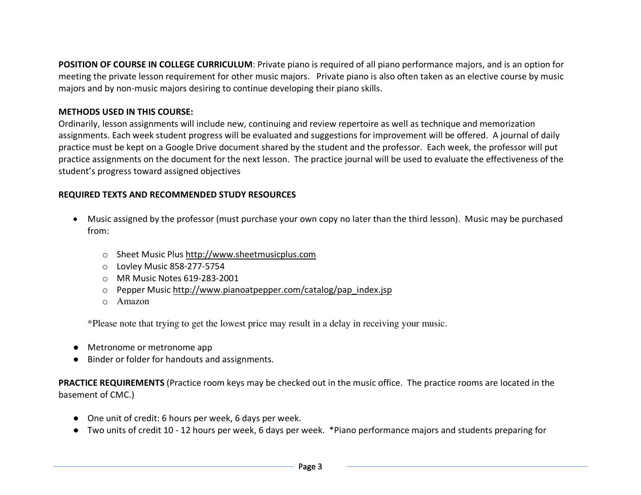**POSITION OF COURSE IN COLLEGE CURRICULUM**: Private piano is required of all piano performance majors, and is an option for meeting the private lesson requirement for other music majors. Private piano is also often taken as an elective course by music majors and by non-music majors desiring to continue developing their piano skills.

### **METHODS USED IN THIS COURSE:**

Ordinarily, lesson assignments will include new, continuing and review repertoire as well as technique and memorization assignments. Each week student progress will be evaluated and suggestions for improvement will be offered. A journal of daily practice must be kept on a Google Drive document shared by the student and the professor. Each week, the professor will put practice assignments on the document for the next lesson. The practice journal will be used to evaluate the effectiveness of the student's progress toward assigned objectives

### **REQUIRED TEXTS AND RECOMMENDED STUDY RESOURCES**

- Music assigned by the professor (must purchase your own copy no later than the third lesson). Music may be purchased from:
	- o Sheet Music Plus http://www.sheetmusicplus.com
	- o Lovley Music 858-277-5754
	- o MR Music Notes 619-283-2001
	- o Pepper Music http://www.pianoatpepper.com/catalog/pap\_index.jsp
	- o Amazon

\*Please note that trying to get the lowest price may result in a delay in receiving your music.

- Metronome or metronome app
- Binder or folder for handouts and assignments.

**PRACTICE REQUIREMENTS** (Practice room keys may be checked out in the music office. The practice rooms are located in the basement of CMC.)

- One unit of credit: 6 hours per week, 6 days per week.
- Two units of credit 10 12 hours per week, 6 days per week. \*Piano performance majors and students preparing for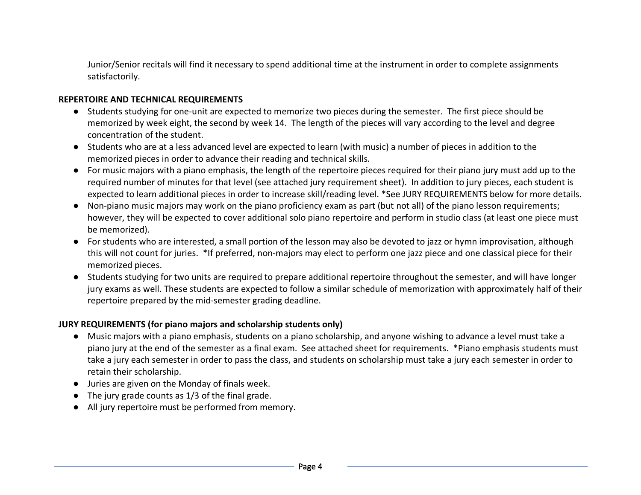Junior/Senior recitals will find it necessary to spend additional time at the instrument in order to complete assignments satisfactorily.

### **REPERTOIRE AND TECHNICAL REQUIREMENTS**

- Students studying for one-unit are expected to memorize two pieces during the semester. The first piece should be memorized by week eight, the second by week 14. The length of the pieces will vary according to the level and degree concentration of the student.
- Students who are at a less advanced level are expected to learn (with music) a number of pieces in addition to the memorized pieces in order to advance their reading and technical skills.
- For music majors with a piano emphasis, the length of the repertoire pieces required for their piano jury must add up to the required number of minutes for that level (see attached jury requirement sheet). In addition to jury pieces, each student is expected to learn additional pieces in order to increase skill/reading level. \*See JURY REQUIREMENTS below for more details.
- Non-piano music majors may work on the piano proficiency exam as part (but not all) of the piano lesson requirements; however, they will be expected to cover additional solo piano repertoire and perform in studio class (at least one piece must be memorized).
- For students who are interested, a small portion of the lesson may also be devoted to jazz or hymn improvisation, although this will not count for juries. \*If preferred, non-majors may elect to perform one jazz piece and one classical piece for their memorized pieces.
- Students studying for two units are required to prepare additional repertoire throughout the semester, and will have longer jury exams as well. These students are expected to follow a similar schedule of memorization with approximately half of their repertoire prepared by the mid-semester grading deadline.

### **JURY REQUIREMENTS (for piano majors and scholarship students only)**

- Music majors with a piano emphasis, students on a piano scholarship, and anyone wishing to advance a level must take a piano jury at the end of the semester as a final exam. See attached sheet for requirements. \*Piano emphasis students must take a jury each semester in order to pass the class, and students on scholarship must take a jury each semester in order to retain their scholarship.
- Juries are given on the Monday of finals week.
- $\bullet$  The jury grade counts as 1/3 of the final grade.
- All jury repertoire must be performed from memory.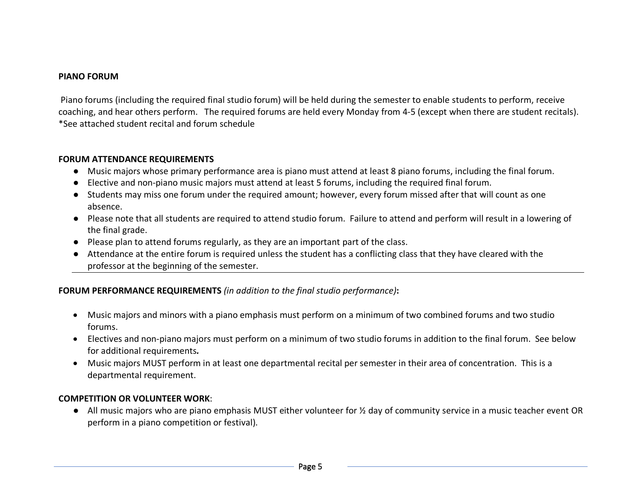### **PIANO FORUM**

Piano forums (including the required final studio forum) will be held during the semester to enable students to perform, receive coaching, and hear others perform. The required forums are held every Monday from 4-5 (except when there are student recitals). \*See attached student recital and forum schedule

#### **FORUM ATTENDANCE REQUIREMENTS**

- Music majors whose primary performance area is piano must attend at least 8 piano forums, including the final forum.
- Elective and non-piano music majors must attend at least 5 forums, including the required final forum.
- Students may miss one forum under the required amount; however, every forum missed after that will count as one absence.
- Please note that all students are required to attend studio forum. Failure to attend and perform will result in a lowering of the final grade.
- Please plan to attend forums regularly, as they are an important part of the class.
- Attendance at the entire forum is required unless the student has a conflicting class that they have cleared with the professor at the beginning of the semester.

### **FORUM PERFORMANCE REQUIREMENTS** *(in addition to the final studio performance)***:**

- Music majors and minors with a piano emphasis must perform on a minimum of two combined forums and two studio forums.
- Electives and non-piano majors must perform on a minimum of two studio forums in addition to the final forum. See below for additional requirements*.*
- Music majors MUST perform in at least one departmental recital per semester in their area of concentration. This is a departmental requirement.

### **COMPETITION OR VOLUNTEER WORK**:

● All music majors who are piano emphasis MUST either volunteer for ½ day of community service in a music teacher event OR perform in a piano competition or festival).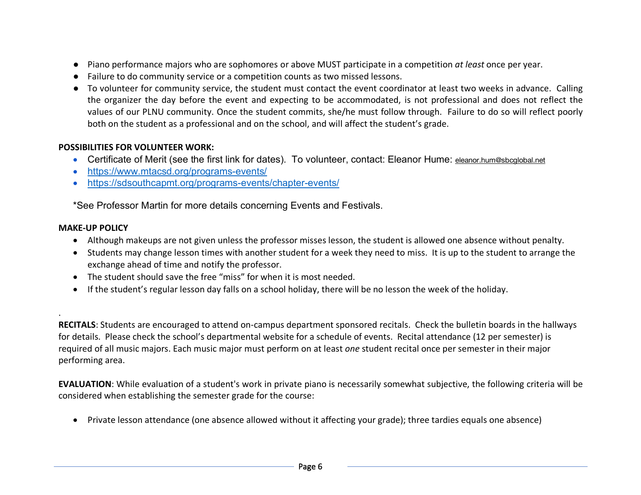- Piano performance majors who are sophomores or above MUST participate in a competition *at least* once per year.
- Failure to do community service or a competition counts as two missed lessons.
- To volunteer for community service, the student must contact the event coordinator at least two weeks in advance. Calling the organizer the day before the event and expecting to be accommodated, is not professional and does not reflect the values of our PLNU community. Once the student commits, she/he must follow through. Failure to do so will reflect poorly both on the student as a professional and on the school, and will affect the student's grade.

# **POSSIBILITIES FOR VOLUNTEER WORK:**

- Certificate of Merit (see the first link for dates). To volunteer, contact: Eleanor Hume: eleanor.hum@sbcglobal.net
- https://www.mtacsd.org/programs-events/
- https://sdsouthcapmt.org/programs-events/chapter-events/

\*See Professor Martin for more details concerning Events and Festivals.

## **MAKE-UP POLICY**

.

- Although makeups are not given unless the professor misses lesson, the student is allowed one absence without penalty.
- Students may change lesson times with another student for a week they need to miss. It is up to the student to arrange the exchange ahead of time and notify the professor.
- The student should save the free "miss" for when it is most needed.
- If the student's regular lesson day falls on a school holiday, there will be no lesson the week of the holiday.

**RECITALS**: Students are encouraged to attend on-campus department sponsored recitals. Check the bulletin boards in the hallways for details. Please check the school's departmental website for a schedule of events. Recital attendance (12 per semester) is required of all music majors. Each music major must perform on at least *one* student recital once per semester in their major performing area.

**EVALUATION**: While evaluation of a student's work in private piano is necessarily somewhat subjective, the following criteria will be considered when establishing the semester grade for the course:

• Private lesson attendance (one absence allowed without it affecting your grade); three tardies equals one absence)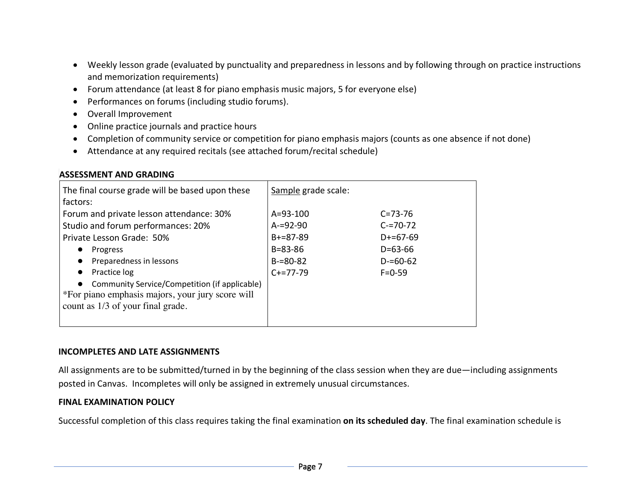- Weekly lesson grade (evaluated by punctuality and preparedness in lessons and by following through on practice instructions and memorization requirements)
- Forum attendance (at least 8 for piano emphasis music majors, 5 for everyone else)
- Performances on forums (including studio forums).
- Overall Improvement
- Online practice journals and practice hours
- Completion of community service or competition for piano emphasis majors (counts as one absence if not done)
- Attendance at any required recitals (see attached forum/recital schedule)

## **ASSESSMENT AND GRADING**

| The final course grade will be based upon these<br>factors:                    | Sample grade scale:             |                                |
|--------------------------------------------------------------------------------|---------------------------------|--------------------------------|
| Forum and private lesson attendance: 30%<br>Studio and forum performances: 20% | $A = 93 - 100$<br>$A = 92 - 90$ | $C = 73 - 76$<br>$C = 70 - 72$ |
| Private Lesson Grade: 50%                                                      | $B+=87-89$                      | $D+=67-69$                     |
| Progress                                                                       | $B = 83 - 86$                   | $D = 63 - 66$                  |
| Preparedness in lessons<br>$\bullet$                                           | $B = 80 - 82$                   | $D = 60 - 62$                  |
| Practice log<br>$\bullet$                                                      | $C+=77-79$                      | $F = 0.59$                     |
| Community Service/Competition (if applicable)<br>$\bullet$                     |                                 |                                |
| *For piano emphasis majors, your jury score will                               |                                 |                                |
| count as 1/3 of your final grade.                                              |                                 |                                |
|                                                                                |                                 |                                |

### **INCOMPLETES AND LATE ASSIGNMENTS**

All assignments are to be submitted/turned in by the beginning of the class session when they are due—including assignments posted in Canvas. Incompletes will only be assigned in extremely unusual circumstances.

# **FINAL EXAMINATION POLICY**

Successful completion of this class requires taking the final examination **on its scheduled day**. The final examination schedule is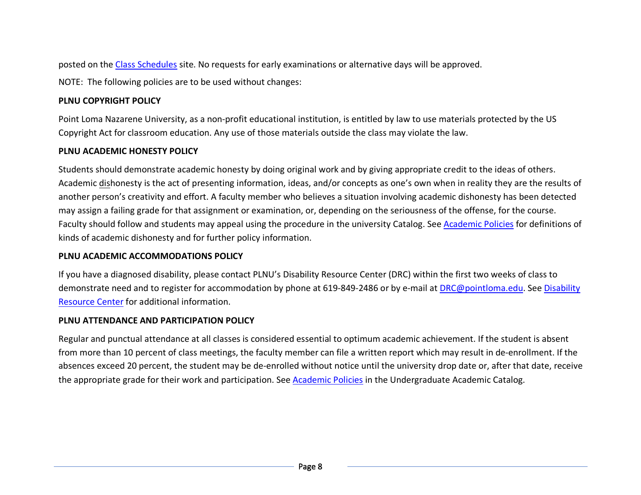posted on the Class Schedules site. No requests for early examinations or alternative days will be approved.

NOTE: The following policies are to be used without changes:

# **PLNU COPYRIGHT POLICY**

Point Loma Nazarene University, as a non-profit educational institution, is entitled by law to use materials protected by the US Copyright Act for classroom education. Any use of those materials outside the class may violate the law.

# **PLNU ACADEMIC HONESTY POLICY**

Students should demonstrate academic honesty by doing original work and by giving appropriate credit to the ideas of others. Academic dishonesty is the act of presenting information, ideas, and/or concepts as one's own when in reality they are the results of another person's creativity and effort. A faculty member who believes a situation involving academic dishonesty has been detected may assign a failing grade for that assignment or examination, or, depending on the seriousness of the offense, for the course. Faculty should follow and students may appeal using the procedure in the university Catalog. See Academic Policies for definitions of kinds of academic dishonesty and for further policy information.

# **PLNU ACADEMIC ACCOMMODATIONS POLICY**

If you have a diagnosed disability, please contact PLNU's Disability Resource Center (DRC) within the first two weeks of class to demonstrate need and to register for accommodation by phone at 619-849-2486 or by e-mail at DRC@pointloma.edu. See Disability Resource Center for additional information.

# **PLNU ATTENDANCE AND PARTICIPATION POLICY**

Regular and punctual attendance at all classes is considered essential to optimum academic achievement. If the student is absent from more than 10 percent of class meetings, the faculty member can file a written report which may result in de-enrollment. If the absences exceed 20 percent, the student may be de-enrolled without notice until the university drop date or, after that date, receive the appropriate grade for their work and participation. See Academic Policies in the Undergraduate Academic Catalog.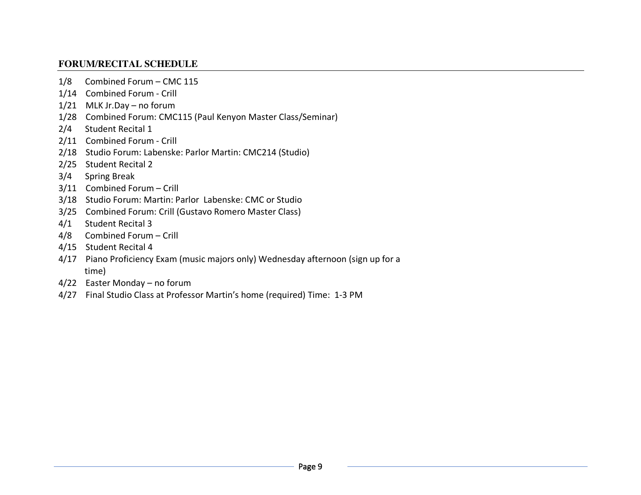# **FORUM/RECITAL SCHEDULE**

- 1/8 Combined Forum CMC 115
- 1/14 Combined Forum Crill
- 1/21 MLK Jr.Day no forum
- 1/28 Combined Forum: CMC115 (Paul Kenyon Master Class/Seminar)
- 2/4 Student Recital 1
- 2/11 Combined Forum Crill
- 2/18 Studio Forum: Labenske: Parlor Martin: CMC214 (Studio)
- 2/25 Student Recital 2
- 3/4 Spring Break
- 3/11 Combined Forum Crill
- 3/18 Studio Forum: Martin: Parlor Labenske: CMC or Studio
- 3/25 Combined Forum: Crill (Gustavo Romero Master Class)
- 4/1 Student Recital 3
- 4/8 Combined Forum Crill
- 4/15 Student Recital 4
- 4/17 Piano Proficiency Exam (music majors only) Wednesday afternoon (sign up for a time)
- 4/22 Easter Monday no forum
- 4/27 Final Studio Class at Professor Martin's home (required) Time: 1-3 PM